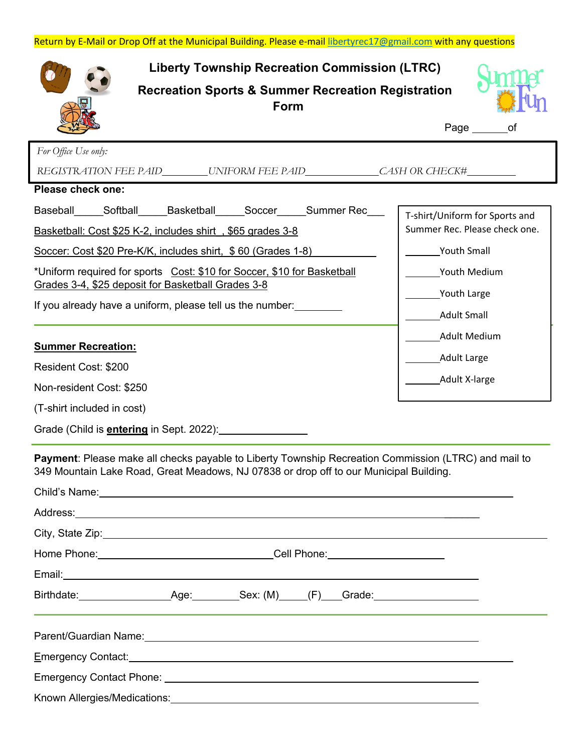| <b>Liberty Township Recreation Commission (LTRC)</b><br><b>Recreation Sports &amp; Summer Recreation Registration</b><br>Form                                                                                                                                                                                                                                                                                                                                                                                                                                  |                                                                                                                                                                                                          |
|----------------------------------------------------------------------------------------------------------------------------------------------------------------------------------------------------------------------------------------------------------------------------------------------------------------------------------------------------------------------------------------------------------------------------------------------------------------------------------------------------------------------------------------------------------------|----------------------------------------------------------------------------------------------------------------------------------------------------------------------------------------------------------|
|                                                                                                                                                                                                                                                                                                                                                                                                                                                                                                                                                                | Page $\_\_$<br>οf                                                                                                                                                                                        |
| For Office Use only:<br>REGISTRATION FEE PAID_________UNIFORM FEE PAID________________CASH OR CHECK#___________<br><b>Please check one:</b>                                                                                                                                                                                                                                                                                                                                                                                                                    |                                                                                                                                                                                                          |
| Baseball Softball Basketball Soccer Summer Rec<br>Basketball: Cost \$25 K-2, includes shirt, \$65 grades 3-8<br>Soccer: Cost \$20 Pre-K/K, includes shirt, \$60 (Grades 1-8)<br>*Uniform required for sports Cost: \$10 for Soccer, \$10 for Basketball<br>Grades 3-4, \$25 deposit for Basketball Grades 3-8<br>If you already have a uniform, please tell us the number:<br><b>Summer Recreation:</b><br>Resident Cost: \$200<br>Non-resident Cost: \$250<br>(T-shirt included in cost)<br>Grade (Child is <b>entering</b> in Sept. 2022): <b>Conservant</b> | T-shirt/Uniform for Sports and<br>Summer Rec. Please check one.<br><b>Youth Small</b><br>Youth Medium<br>Youth Large<br><b>Adult Small</b><br><b>Adult Medium</b><br><b>Adult Large</b><br>Adult X-large |
| Payment: Please make all checks payable to Liberty Township Recreation Commission (LTRC) and mail to<br>349 Mountain Lake Road, Great Meadows, NJ 07838 or drop off to our Municipal Building.<br>Child's Name: Child's Name:<br>Home Phone: Now You Cell Phone: Now You Cell Phone: Now You Cell Phone:                                                                                                                                                                                                                                                       |                                                                                                                                                                                                          |
| Parent/Guardian Name: 1997 - 2008 - 2010 - 2010 - 2010 - 2010 - 2010 - 2010 - 2010 - 2010 - 2010 - 2010 - 201<br>Emergency Contact: <u>contact:</u> contact: contact: contact: contact: contact: contact: contact: contact: contact: contact: contact: contact: contact: contact: contact: contact: contact: contact: contact: contact: contact: con                                                                                                                                                                                                           |                                                                                                                                                                                                          |

Known Allergies/Medications: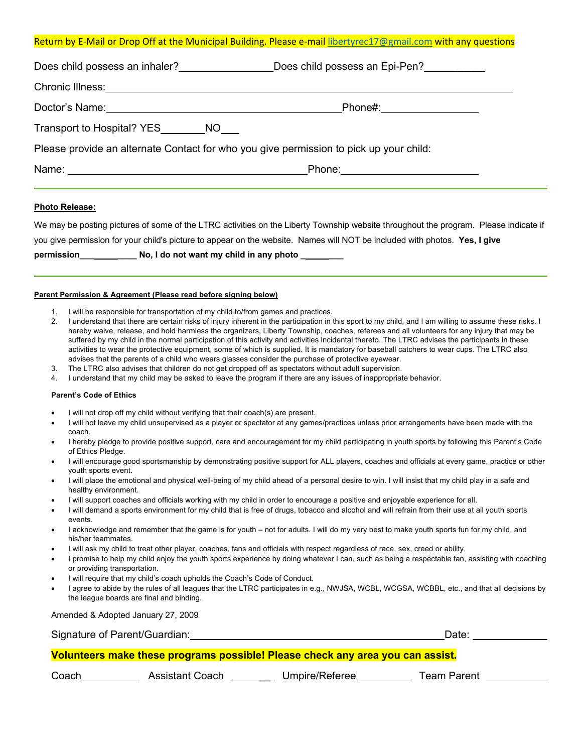## Return by E-Mail or Drop Off at the Municipal Building. Please e-mail libertyrec17@gmail.com with any questions

| Does child possess an inhaler?<br><u> </u>                                                                                                                                                                                     | Does child possess an Epi-Pen?     |  |
|--------------------------------------------------------------------------------------------------------------------------------------------------------------------------------------------------------------------------------|------------------------------------|--|
|                                                                                                                                                                                                                                |                                    |  |
| Doctor's Name: Name: Name and Second Contract of the Second Contract of the Second Contract of the Second Contract of the Second Contract of the Second Contract of the Second Contract of the Second Contract of the Second C |                                    |  |
| Transport to Hospital? YES NO                                                                                                                                                                                                  |                                    |  |
| Please provide an alternate Contact for who you give permission to pick up your child:                                                                                                                                         |                                    |  |
|                                                                                                                                                                                                                                | Phone: <u>____________________</u> |  |

### **Photo Release:**

We may be posting pictures of some of the LTRC activities on the Liberty Township website throughout the program. Please indicate if you give permission for your child's picture to appear on the website. Names will NOT be included with photos. **Yes, I give permission\_\_\_ \_\_\_\_ No, I do not want my child in any photo \_ \_\_\_**

## **Parent Permission & Agreement (Please read before signing below)**

- 1. I will be responsible for transportation of my child to/from games and practices.
- 2. I understand that there are certain risks of injury inherent in the participation in this sport to my child, and I am willing to assume these risks. I hereby waive, release, and hold harmless the organizers, Liberty Township, coaches, referees and all volunteers for any injury that may be suffered by my child in the normal participation of this activity and activities incidental thereto. The LTRC advises the participants in these activities to wear the protective equipment, some of which is supplied. It is mandatory for baseball catchers to wear cups. The LTRC also advises that the parents of a child who wears glasses consider the purchase of protective eyewear.
- 3. The LTRC also advises that children do not get dropped off as spectators without adult supervision.
- 4. I understand that my child may be asked to leave the program if there are any issues of inappropriate behavior.

#### **Parent's Code of Ethics**

- I will not drop off my child without verifying that their coach(s) are present.
- I will not leave my child unsupervised as a player or spectator at any games/practices unless prior arrangements have been made with the coach.
- I hereby pledge to provide positive support, care and encouragement for my child participating in youth sports by following this Parent's Code of Ethics Pledge.
- I will encourage good sportsmanship by demonstrating positive support for ALL players, coaches and officials at every game, practice or other youth sports event.
- I will place the emotional and physical well-being of my child ahead of a personal desire to win. I will insist that my child play in a safe and healthy environment.
- I will support coaches and officials working with my child in order to encourage a positive and enjoyable experience for all.
- I will demand a sports environment for my child that is free of drugs, tobacco and alcohol and will refrain from their use at all youth sports events.
- I acknowledge and remember that the game is for youth not for adults. I will do my very best to make youth sports fun for my child, and his/her teammates.
- I will ask my child to treat other player, coaches, fans and officials with respect regardless of race, sex, creed or ability.
- I promise to help my child enjoy the youth sports experience by doing whatever I can, such as being a respectable fan, assisting with coaching or providing transportation.
- I will require that my child's coach upholds the Coach's Code of Conduct.
- I agree to abide by the rules of all leagues that the LTRC participates in e.g., NWJSA, WCBL, WCGSA, WCBBL, etc., and that all decisions by the league boards are final and binding.

Amended & Adopted January 27, 2009

Signature of Parent/Guardian: Date: Date: Date: Date: Date: Date: Date: Date: Date: Date: Date: Date: Date: Date: Date: Date: Date: Date: Date: Date: Date: Date: Date: Date: Date: Date: Date: Date: Date: Date: Date: Date:

# **Volunteers make these programs possible! Please check any area you can assist.**

Coach Assistant Coach \_\_ Umpire/Referee Team Parent